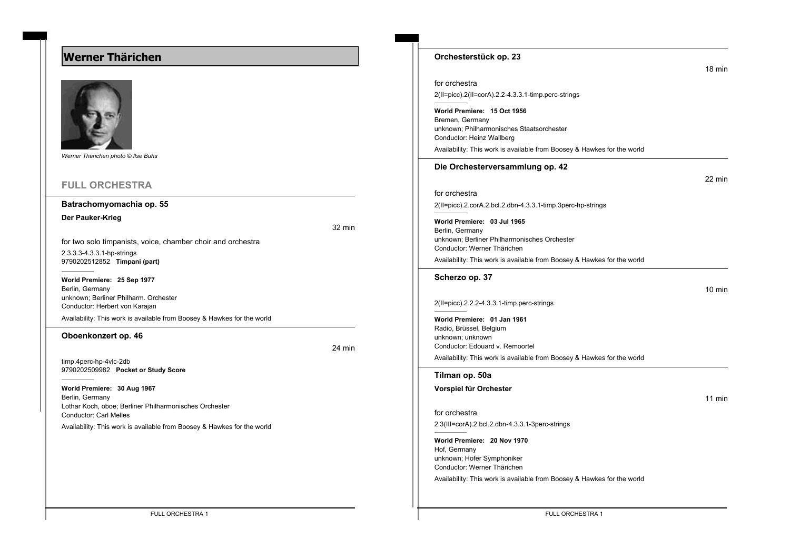# **Werner Thärichen**



*Werner Thärichen photo © Ilse Buhs*

## **FULL ORCHESTRA**

### **Batrachomyomachia op. 55**

**Der Pauker-Krieg**

32 min

for two solo timpanists, voice, chamber choir and orchestra 2.3.3.3-4.3.3.1-hp-strings

9790202512852 **Timpani (part)**

**World Premiere: 25 Sep 1977** Berlin, Germany unknown; Berliner Philharm. Orchester Conductor: Herbert von Karajan

Availability: This work is available from Boosey & Hawkes for the world

#### **Oboenkonzert op. 46**

24 min

timp.4perc-hp-4vlc-2db 9790202509982 **Pocket or Study Score**

**World Premiere: 30 Aug 1967** Berlin, Germany Lothar Koch, oboe; Berliner Philharmonisches Orchester Conductor: Carl Melles

Availability: This work is available from Boosey & Hawkes for the world

| for orchestra                                                                             |
|-------------------------------------------------------------------------------------------|
| $2(II = picc).2(II = corA).2.2 - 4.3.3.1 - timp. perc - strings$                          |
| World Premiere: 15 Oct 1956                                                               |
| Bremen, Germany<br>unknown; Philharmonisches Staatsorchester<br>Conductor: Heinz Wallberg |
| Availability: This work is available from Boosey & Hawkes                                 |
| Die Orchesterversammlung op. 42                                                           |
| for orchestra                                                                             |
| 2(II=picc).2.corA.2.bcl.2.dbn-4.3.3.1-timp.3perc-hp-strings                               |
|                                                                                           |

**World Premiere: 03 Jul 1965** Berlin, Germany unknown; Berliner Philharmonisches Orchester Conductor: Werner Thärichen

Availability: This work is available from Boosey & Hawkes for the world

#### **Scherzo op. 37**

2(II=picc).2.2.2-4.3.3.1-timp.perc-strings

**World Premiere: 01 Jan 1961** Radio, Brüssel, Belgium unknown; unknown Conductor: Edouard v. Remoortel Availability: This work is available from Boosey & Hawkes for the world

#### **Tilman op. 50a**

**Vorspiel für Orchester**

11 min

for orchestra

2.3(III=corA).2.bcl.2.dbn-4.3.3.1-3perc-strings

**World Premiere: 20 Nov 1970** Hof, Germany unknown; Hofer Symphoniker Conductor: Werner Thärichen

Availability: This work is available from Boosey & Hawkes for the world

FULL ORCHESTRA 1 FULL ORCHESTRA 1

18 min

22 min

10 min

**Orchesterstück op. 23**

sorchester from Boosey & Hawkes for the world